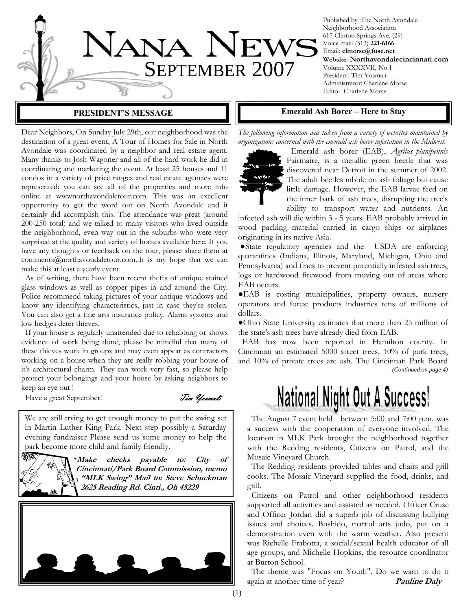

Published by :The North Avondale Neighborhood Association 617 Clinton Springs Ave. (29) Voice mail: (513) **221-6166** Email: **clmorse@fuse.net Website**: **Northavondalecincinnati.com** Volume XXXXVII, No.1 President: Tim Yosmali Administrator: Charlene Morse Editor: Charlene Morse

Dear Neighbors, On Sunday July 29th, our neighborhood was the destination of a great event, A Tour of Homes for Sale in North Avondale was coordinated by a neighbor and real estate agent. Many thanks to Josh Wagoner and all of the hard work he did in coordinating and marketing the event. At least 25 houses and 11 condos in a variety of price ranges and real estate agencies were represented; you can see all of the properties and more info online at wwwnorthavondaletour.com. This was an excellent opportunity to get the word out on North Avondale and it certainly did accomplish this. The attendance was great (around 200-250 total) and we talked to many visitors who lived outside the neighborhood, even way out in the suburbs who were very surprised at the quality and variety of homes available here. If you have any thoughts or feedback on the tour, please share them at comments@northavondaletour.com..It is my hope that we can make this at least a yearly event.

 As of writing, there have been recent thefts of antique stained glass windows as well as copper pipes in and around the City. Police recommend taking pictures of your antique windows and know any identifying characteristics, just in case they're stolen. You can also get a fine arts insurance policy. Alarm systems and low hedges deter thieves.

 If your house is regularly unattended due to rehabbing or shows evidence of work being done, please be mindful that many of these thieves work in groups and may even appear as contractors working on a house when they are really robbing your house of it's architectural charm. They can work very fast, so please help protect your belongings and your house by asking neighbors to keep an eye out !

Have a great September! Tim *Yosmali* 

绿风

We are still trying to get enough money to put the swing set in Martin Luther King Park. Next step possibly a Saturday evening fundraiser Please send us some money to help the park become more child and family friendly.

> *\****Make checks payable to: City of Cincinnati/Park Board Commission, memo "MLK Swing" Mail to: Steve Schuckman 2625 Reading Rd. Cinti., Oh 45229**



#### **PRESIDENT'S MESSAGE FOR EMERY FORESIDENT'S MESSAGE FORESIDENT'S MESSAGE**

*The following information was taken from a variety of websites maintained by organizations concerned with the emerald ash borer infestation in the Midwest.* 



 Emerald ash borer (EAB), *Agrilus planipennis* Fairmaire, is a metallic green beetle that was discovered near Detroit in the summer of 2002. The adult beetles nibble on ash foliage but cause little damage. However, the EAB larvae feed on the inner bark of ash trees, disrupting the tree's ability to transport water and nutrients. An

infected ash will die within 3 - 5 years. EAB probably arrived in wood packing material carried in cargo ships or airplanes originating in its native Asia.

●State regulatory agencies and the USDA are enforcing quarantines (Indiana, Illinois, Maryland, Michigan, Ohio and Pennsylvania) and fines to prevent potentially infested ash trees, logs or hardwood firewood from moving out of areas where EAB occurs.

●EAB is costing municipalities, property owners, nursery operators and forest products industries tens of millions of dollars.

●Ohio State University estimates that more than 25 million of the state's ash trees have already died from EAB.

 EAB has now been reported in Hamilton county. In Cincinnati an estimated 5000 street trees, 10% of park trees, and 10% of private trees are ash. The Cincinnati Park Board *(Continued on page 4)* 

# **National Night Out A Success!**

 The August 7 event held between 5:00 and 7:00 p.m. was a success with the cooperation of everyone involved. The location in MLK Park brought the neighborhood together with the Redding residents, Citizens on Patrol, and the Mosaic Vineyard Church.

 The Redding residents provided tables and chairs and grill cooks. The Mosaic Vineyard supplied the food, drinks, and grill.

 Citizens on Patrol and other neighborhood residents supported all activities and assisted as needed. Officer Cruse and Officer Jordan did a superb job of discussing bullying issues and choices. Bushido, martial arts judo, put on a demonstration even with the warm weather. Also present was Richelle Frabotta, a social/sexual health educator of all age groups, and Michelle Hopkins, the resource coordinator at Burton School.

 The theme was "Focus on Youth". Do we want to do it again at another time of year? **Pauline Daly**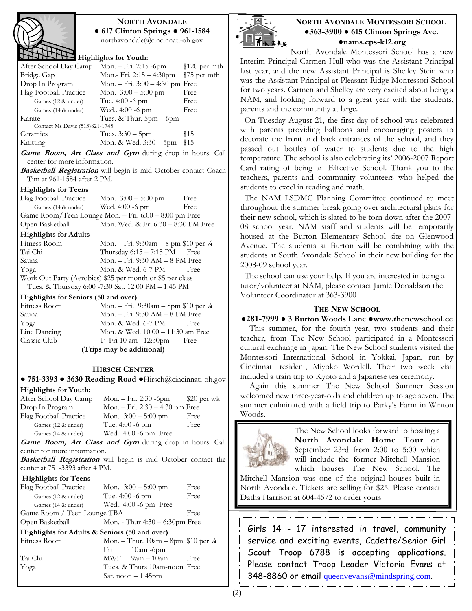

### **NORTH AVONDALE ● 617 Clinton Springs ● 961-1584**

northavondale@cincinnati-oh.gov

#### **Highlights for Youth:**

| After School Day Camp          | Mon. $-Fri. 2:15-6pm$ \$120 per mth |              |
|--------------------------------|-------------------------------------|--------------|
| Bridge Gap                     | Mon.- Fri. $2:15-4:30$ pm           | \$75 per mth |
| Drop In Program                | Mon. – Fri. $3:00 - 4:30$ pm Free   |              |
| Flag Football Practice         | Mon. $3:00 - 5:00$ pm               | Free         |
| Games (12 & under)             | Tue. $4:00 - 6$ pm                  | Free         |
| Games (14 & under)             | Wed 4:00 -6 pm                      | Free         |
| Karate                         | Tues. & Thur. $5pm-6pm$             |              |
| Contact Ms Davis (513)821-1745 |                                     |              |
| Ceramics                       | Tues. $3:30 - 5$ pm                 | \$15         |
| Knitting                       | Mon. & Wed. 3:30 – 5pm              | \$15         |
|                                | .                                   |              |

**Game Room, Art Class and Gym** during drop in hours. Call center for more information.

**Basketball Registration** will begin is mid October contact Coach Tim at 961-1584 after 2 PM.

#### **Highlights for Teens**

Flag Football Practice Mon.  $3:00 - 5:00$  pm Free Games (14 & under) Wed. 4:00 -6 pm Free Game Room/Teen Lounge Mon. – Fri. 6:00 – 8:00 pm Free Open Basketball Mon. Wed. & Fri 6:30 – 8:30 PM Free

#### **Highlights for Adults**

| Fitness Room                                              | Mon. – Fri. 9:30am – 8 pm \$10 per ¼ |      |
|-----------------------------------------------------------|--------------------------------------|------|
| Tai Chi                                                   | Thursday $6:15 - 7:15$ PM Free       |      |
| Sauna                                                     | Mon. $-$ Fri. 9:30 AM $-$ 8 PM Free  |      |
| Yoga                                                      | Mon. & Wed. 6-7 PM                   | Free |
| Work Out Party (Aerobics) \$25 per month or \$5 per class |                                      |      |
| Tues. & Thursday 6:00 -7:30 Sat. 12:00 PM - 1:45 PM       |                                      |      |

#### **Highlights for Seniors (50 and over)**

| Fitness Room              | Mon. – Fri. 9:30am – 8pm \$10 per $\frac{1}{4}$ |      |
|---------------------------|-------------------------------------------------|------|
| Sauna                     | Mon. - Fri. 9:30 AM - 8 PM Free                 |      |
| Yoga                      | Mon. & Wed. 6-7 PM                              | Free |
| Line Dancing              | Mon. & Wed. 10:00 – 11:30 am Free               |      |
| Classic Club              | $1st$ Fri 10 am - 12:30pm                       | Free |
| (Trips may be additional) |                                                 |      |

### **HIRSCH CENTER**

**● 751-3393 ● 3630 Reading Road ●**Hirsch@cincinnati-oh.gov

#### **Highlights for Youth:**

| After School Day Camp  | Mon. – Fri. 2:30 -6pm           | $$20 \text{ per wk}$ |
|------------------------|---------------------------------|----------------------|
| Drop In Program        | Mon. - Fri. 2:30 - 4:30 pm Free |                      |
| Flag Football Practice | Mon. $3:00 - 5:00$ pm           | Free                 |
| Games (12 & under)     | Tue. $4:00 - 6$ pm              | Free                 |
| Games (14 & under)     | Wed 4:00 -6 pm Free             |                      |
|                        |                                 |                      |

**Game Room, Art Class and Gym** during drop in hours. Call center for more information.

**Basketball Registration** will begin is mid October contact the center at 751-3393 after 4 PM.

#### **Highlights for Teens**

| Flag Football Practice                        | Mon. $3:00-5:00$ pm                              | Free |
|-----------------------------------------------|--------------------------------------------------|------|
| Games (12 & under)                            | Tue. 4:00 -6 pm                                  | Free |
| Games (14 & under)                            | Wed 4:00 -6 pm Free                              |      |
| Game Room / Teen Lounge TBA                   |                                                  | Free |
| Open Basketball                               | Mon. - Thur $4:30 - 6:30$ pm Free                |      |
| Highlights for Adults & Seniors (50 and over) |                                                  |      |
| Fitness Room                                  | Mon. – Thur. $10am - 8pm$ \$10 per $\frac{1}{4}$ |      |
|                                               | Fri<br>$10am - 6pm$                              |      |
| Tai Chi                                       | $MWF$ 9am – 10am                                 | Free |
| Yoga                                          | Tues. & Thurs 10am-noon Free                     |      |
|                                               | Sat. noon $-1:45$ pm                             |      |



#### **NORTH AVONDALE MONTESSORI SCHOOL ●363-3900 ● 615 Clinton Springs Ave. ●nams.cps-k12.org**

North Avondale Montessori School has a new Interim Principal Carmen Hull who was the Assistant Principal last year, and the new Assistant Principal is Shelley Stein who was the Assistant Principal at Pleasant Ridge Montessori School for two years. Carmen and Shelley are very excited about being a NAM, and looking forward to a great year with the students, parents and the communtiy at large.

 On Tuesday August 21, the first day of school was celebrated with parents providing balloons and encouraging posters to decorate the front and back entrances of the school, and they passed out bottles of water to students due to the high temperature. The school is also celebrating its' 2006-2007 Report Card rating of being an Effective School. Thank you to the teachers, parents and community volunteers who helped the students to excel in reading and math.

 The NAM LSDMC Planning Committee continued to meet throughout the summer break going over architectural plans for their new school, which is slated to be torn down after the 2007- 08 school year. NAM staff and students will be temporarily housed at the Burton Elementary School site on Glenwood Avenue. The students at Burton will be combining with the students at South Avondale School in their new building for the 2008-09 school year.

 The school can use your help. If you are interested in being a tutor/volunteer at NAM, please contact Jamie Donaldson the Volunteer Coordinator at 363-3900

#### **THE NEW SCHOOL**

**●281-7999 ● 3 Burton Woods Lane ●www.thenewschool.cc** 

This summer, for the fourth year, two students and their teacher, from The New School participated in a Montessori cultural exchange in Japan. The New School students visited the Montessori International School in Yokkai, Japan, run by Cincinnati resident, Miyoko Wordell. Their two week visit included a train trip to Kyoto and a Japanese tea ceremony.

Again this summer The New School Summer Session welcomed new three-year-olds and children up to age seven. The summer culminated with a field trip to Parky's Farm in Winton Woods.



The New School looks forward to hosting a **North Avondale Home Tour** on September 23rd from 2:00 to 5:00 which will include the former Mitchell Mansion which houses The New School. The

Mitchell Mansion was one of the original houses built in North Avondale. Tickets are selling for \$25. Please contact Datha Harrison at 604-4572 to order yours

Girls 14 - 17 interested in travel, community service and exciting events, Cadette/Senior Girl Scout Troop 6788 is accepting applications. Please contact Troop Leader Victoria Evans at 348-8860 or email queenvevans@mindspring.com.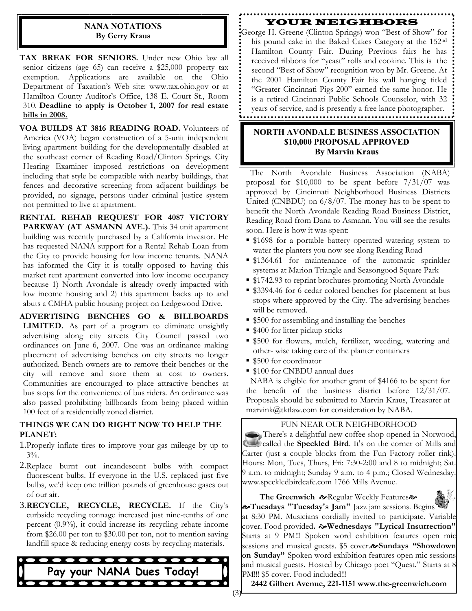#### **NANA NOTATIONS By Gerry Kraus**

**TAX BREAK FOR SENIORS.** Under new Ohio law all senior citizens (age 65) can receive a \$25,000 property tax exemption. Applications are available on the Ohio Department of Taxation's Web site: www.tax.ohio.gov or at Hamilton County Auditor's Office, 138 E. Court St., Room 310. **Deadline to apply is October 1, 2007 for real estate bills in 2008.**

**VOA BUILDS AT 3816 READING ROAD.** Volunteers of America (VOA) began construction of a 5-unit independent living apartment building for the developmentally disabled at the southeast corner of Reading Road/Clinton Springs. City Hearing Examiner imposed restrictions on development including that style be compatible with nearby buildings, that fences and decorative screening from adjacent buildings be provided, no signage, persons under criminal justice system not permitted to live at apartment.

**RENTAL REHAB REQUEST FOR 4087 VICTORY PARKWAY (AT ASMANN AVE.).** This 34 unit apartment building was recently purchased by a California investor. He has requested NANA support for a Rental Rehab Loan from the City to provide housing for low income tenants. NANA has informed the City it is totally opposed to having this market rent apartment converted into low income occupancy because 1) North Avondale is already overly impacted with low income housing and 2) this apartment backs up to and abuts a CMHA public housing project on Ledgewood Drive.

**ADVERTISING BENCHES GO & BILLBOARDS LIMITED.** As part of a program to eliminate unsightly advertising along city streets City Council passed two ordinances on June 6, 2007. One was an ordinance making placement of advertising benches on city streets no longer authorized. Bench owners are to remove their benches or the city will remove and store them at cost to owners. Communities are encouraged to place attractive benches at bus stops for the convenience of bus riders. An ordinance was also passed prohibiting billboards from being placed within 100 feet of a residentially zoned district.

#### **THINGS WE CAN DO RIGHT NOW TO HELP THE PLANET:**

- 1.Properly inflate tires to improve your gas mileage by up to 3%.
- 2.Replace burnt out incandescent bulbs with compact fluorescent bulbs. If everyone in the U.S. replaced just five bulbs, we'd keep one trillion pounds of greenhouse gases out of our air.
- 3.**RECYCLE, RECYCLE, RECYCLE.** If the City's curbside recycling tonnage increased just nine-tenths of one percent (0.9%), it could increase its recycling rebate income from \$26.00 per ton to \$30.00 per ton, not to mention saving landfill space & reducing energy costs by recycling materials.



#### YOUR NEIGHBORS

George H. Greene (Clinton Springs) won "Best of Show" for his pound cake in the Baked Cakes Category at the 152nd Hamilton County Fair. During Previous fairs he has received ribbons for "yeast" rolls and cookine. This is the second "Best of Show" recognition won by Mr. Greene. At the 2001 Hamilton County Fair his wall hanging titled "Greater Cincinnati Pigs 200" earned the same honor. He is a retired Cincinnati Public Schools Counselor, with 32 years of service, and is presently a free lance photographer.

#### **NORTH AVONDALE BUSINESS ASSOCIATION \$10,000 PROPOSAL APPROVED By Marvin Kraus**

 The North Avondale Business Association (NABA) proposal for \$10,000 to be spent before 7/31/07 was approved by Cincinnati Neighborhood Business Districts United (CNBDU) on 6/8/07. The money has to be spent to benefit the North Avondale Reading Road Business District, Reading Road from Dana to Asmann. You will see the results soon. Here is how it was spent:

- \$1698 for a portable battery operated watering system to water the planters you now see along Reading Road
- \$1364.61 for maintenance of the automatic sprinkler systems at Marion Triangle and Seasongood Square Park
- \$1742.93 to reprint brochures promoting North Avondale
- \$3394.46 for 6 cedar colored benches for placement at bus stops where approved by the City. The advertising benches will be removed.
- \$500 for assembling and installing the benches
- \$400 for litter pickup sticks
- \$500 for flowers, mulch, fertilizer, weeding, watering and other- wise taking care of the planter containers
- \$500 for coordinator
- \$100 for CNBDU annual dues

 NABA is eligible for another grant of \$4166 to be spent for the benefit of the business district before 12/31/07. Proposals should be submitted to Marvin Kraus, Treasurer at marvink@tktlaw.com for consideration by NABA.

#### FUN NEAR OUR NEIGHBORHOOD

There's a delightful new coffee shop opened in Norwood, called the **Speckled Bird**. It's on the corner of Mills and Carter (just a couple blocks from the Fun Factory roller rink). Hours: Mon, Tues, Thurs, Fri: 7:30-2:00 and 8 to midnight; Sat. 9 a.m. to midnight; Sunday 9 a.m. to 4 p.m.; Closed Wednesday. www.speckledbirdcafe.com 1766 Mills Avenue.

The Greenwich  $\omega$ Regular Weekly Features $\omega$ [**Tuesdays "Tuesday's Jam"** Jazz jam sessions. Begins at 8:30 PM. Musicians cordially invited to participate. Variable cover. Food provided**.** [**Wednesdays "Lyrical Insurrection"**  Starts at 9 PM!!! Spoken word exhibition features open mic sessions and musical guests. \$5 cover.<sup>2</sup> Sundays "Showdown **on Sunday"** Spoken word exhibition features open mic sessions and musical guests. Hosted by Chicago poet "Quest." Starts at 8 PM!!! \$5 cover. Food included!!!

**2442 Gilbert Avenue, 221-1151 www.the-greenwich.com**